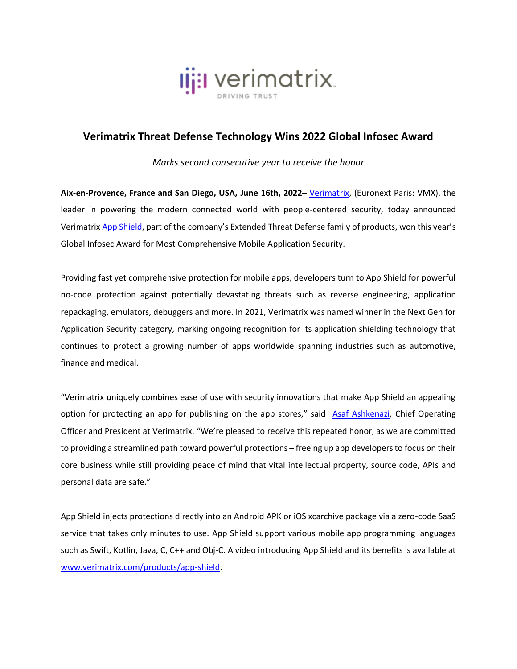

## **Verimatrix Threat Defense Technology Wins 2022 Global Infosec Award**

*Marks second consecutive year to receive the honor*

**Aix-en-Provence, France and San Diego, USA, June 16th, 2022**– [Verimatrix,](http://www.verimatrix.com/) (Euronext Paris: VMX), the leader in powering the modern connected world with people-centered security, today announced Verimatrix [App Shield](https://www.verimatrix.com/products/app-shield/), part of the company's Extended Threat Defense family of products, won this year's Global Infosec Award for Most Comprehensive Mobile Application Security.

Providing fast yet comprehensive protection for mobile apps, developers turn to App Shield for powerful no-code protection against potentially devastating threats such as reverse engineering, application repackaging, emulators, debuggers and more. In 2021, Verimatrix was named winner in the Next Gen for Application Security category, marking ongoing recognition for its application shielding technology that continues to protect a growing number of apps worldwide spanning industries such as automotive, finance and medical.

"Verimatrix uniquely combines ease of use with security innovations that make App Shield an appealing option for protecting an app for publishing on the app stores," said [Asaf Ashkenazi,](https://www.linkedin.com/in/asafashkenazi/) Chief Operating Officer and President at Verimatrix. "We're pleased to receive this repeated honor, as we are committed to providing a streamlined path toward powerful protections – freeing up app developers to focus on their core business while still providing peace of mind that vital intellectual property, source code, APIs and personal data are safe."

App Shield injects protections directly into an Android APK or iOS xcarchive package via a zero-code SaaS service that takes only minutes to use. App Shield support various mobile app programming languages such as Swift, Kotlin, Java, C, C++ and Obj-C. A video introducing App Shield and its benefits is available at [www.verimatrix.com/products/app-shield.](http://www.verimatrix.com/products/app-shield)